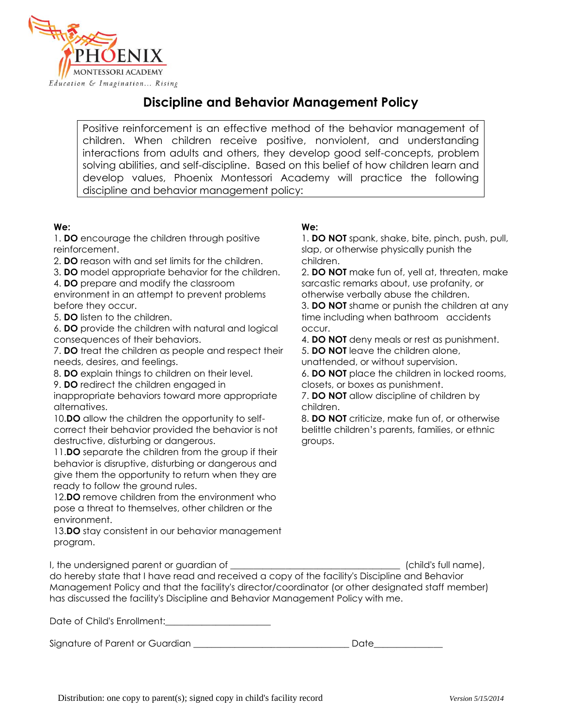

## **Discipline and Behavior Management Policy**

Positive reinforcement is an effective method of the behavior management of children. When children receive positive, nonviolent, and understanding interactions from adults and others, they develop good self-concepts, problem solving abilities, and self-discipline. Based on this belief of how children learn and develop values, Phoenix Montessori Academy will practice the following discipline and behavior management policy:

## **We:**

1. **DO** encourage the children through positive reinforcement.

2. **DO** reason with and set limits for the children.

3. **DO** model appropriate behavior for the children. 4. **DO** prepare and modify the classroom

environment in an attempt to prevent problems before they occur.

5. **DO** listen to the children.

6. **DO** provide the children with natural and logical consequences of their behaviors.

7. **DO** treat the children as people and respect their needs, desires, and feelings.

8. **DO** explain things to children on their level.

9. **DO** redirect the children engaged in

inappropriate behaviors toward more appropriate alternatives.

10.**DO** allow the children the opportunity to selfcorrect their behavior provided the behavior is not destructive, disturbing or dangerous.

11.**DO** separate the children from the group if their behavior is disruptive, disturbing or dangerous and give them the opportunity to return when they are ready to follow the ground rules.

12.**DO** remove children from the environment who pose a threat to themselves, other children or the environment.

13.**DO** stay consistent in our behavior management program.

## **We:**

1. **DO NOT** spank, shake, bite, pinch, push, pull, slap, or otherwise physically punish the children.

2. **DO NOT** make fun of, yell at, threaten, make sarcastic remarks about, use profanity, or otherwise verbally abuse the children.

3. **DO NOT** shame or punish the children at any time including when bathroom accidents occur.

4. **DO NOT** deny meals or rest as punishment.

5. **DO NOT** leave the children alone,

unattended, or without supervision.

6. **DO NOT** place the children in locked rooms, closets, or boxes as punishment.

7. **DO NOT** allow discipline of children by children.

8. **DO NOT** criticize, make fun of, or otherwise belittle children's parents, families, or ethnic groups.

| I, the undersigned parent or guardian of                                                          | (child's full name), |
|---------------------------------------------------------------------------------------------------|----------------------|
| do hereby state that I have read and received a copy of the facility's Discipline and Behavior    |                      |
| Management Policy and that the facility's director/coordinator (or other designated staff member) |                      |
| has discussed the facility's Discipline and Behavior Management Policy with me.                   |                      |

Date of Child's Enrollment:\_\_\_\_\_\_\_\_\_\_\_\_\_\_\_\_\_\_\_\_\_\_\_

Signature of Parent or Guardian the state of the Superior Contract of Parents of Superior Contract of the Superior Contract of the Superior Contract of the Superior Contract of the Superior Contract of the Superior Contrac